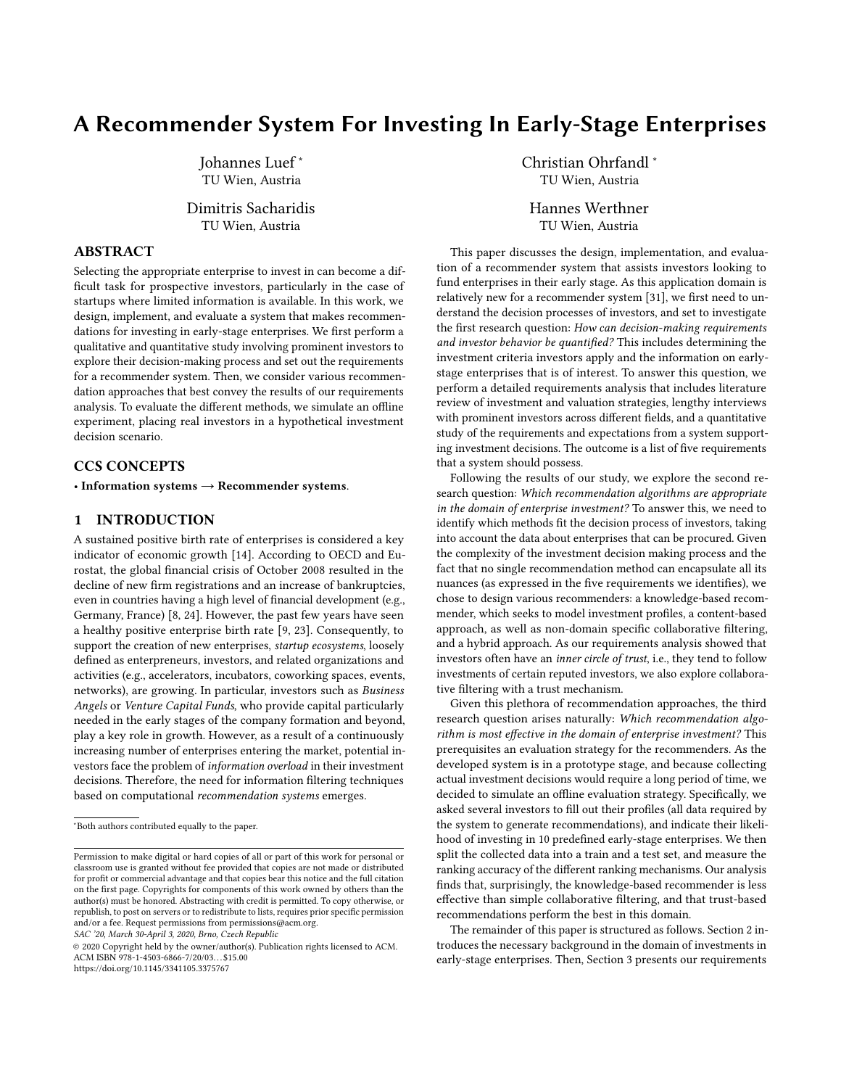# A Recommender System For Investing In Early-Stage Enterprises

Johannes Luef <sup>∗</sup> TU Wien, Austria

Dimitris Sacharidis TU Wien, Austria

# ABSTRACT

Selecting the appropriate enterprise to invest in can become a difficult task for prospective investors, particularly in the case of startups where limited information is available. In this work, we design, implement, and evaluate a system that makes recommendations for investing in early-stage enterprises. We first perform a qualitative and quantitative study involving prominent investors to explore their decision-making process and set out the requirements for a recommender system. Then, we consider various recommendation approaches that best convey the results of our requirements analysis. To evaluate the different methods, we simulate an offline experiment, placing real investors in a hypothetical investment decision scenario.

# CCS CONCEPTS

• Information systems  $\rightarrow$  Recommender systems.

# 1 INTRODUCTION

A sustained positive birth rate of enterprises is considered a key indicator of economic growth [\[14\]](#page-7-0). According to OECD and Eurostat, the global financial crisis of October 2008 resulted in the decline of new firm registrations and an increase of bankruptcies, even in countries having a high level of financial development (e.g., Germany, France) [\[8,](#page-7-1) [24\]](#page-7-2). However, the past few years have seen a healthy positive enterprise birth rate [\[9,](#page-7-3) [23\]](#page-7-4). Consequently, to support the creation of new enterprises, *startup ecosystems*, loosely defined as enterpreneurs, investors, and related organizations and activities (e.g., accelerators, incubators, coworking spaces, events, networks), are growing. In particular, investors such as Business Angels or Venture Capital Funds, who provide capital particularly needed in the early stages of the company formation and beyond, play a key role in growth. However, as a result of a continuously increasing number of enterprises entering the market, potential investors face the problem of information overload in their investment decisions. Therefore, the need for information filtering techniques based on computational recommendation systems emerges.

SAC '20, March 30-April 3, 2020, Brno, Czech Republic

Christian Ohrfandl <sup>∗</sup> TU Wien, Austria

Hannes Werthner TU Wien, Austria

This paper discusses the design, implementation, and evaluation of a recommender system that assists investors looking to fund enterprises in their early stage. As this application domain is relatively new for a recommender system [\[31\]](#page-7-5), we first need to understand the decision processes of investors, and set to investigate the first research question: How can decision-making requirements and investor behavior be quantified? This includes determining the investment criteria investors apply and the information on earlystage enterprises that is of interest. To answer this question, we perform a detailed requirements analysis that includes literature review of investment and valuation strategies, lengthy interviews with prominent investors across different fields, and a quantitative study of the requirements and expectations from a system supporting investment decisions. The outcome is a list of five requirements that a system should possess.

Following the results of our study, we explore the second research question: Which recommendation algorithms are appropriate in the domain of enterprise investment? To answer this, we need to identify which methods fit the decision process of investors, taking into account the data about enterprises that can be procured. Given the complexity of the investment decision making process and the fact that no single recommendation method can encapsulate all its nuances (as expressed in the five requirements we identifies), we chose to design various recommenders: a knowledge-based recommender, which seeks to model investment profiles, a content-based approach, as well as non-domain specific collaborative filtering, and a hybrid approach. As our requirements analysis showed that investors often have an inner circle of trust, i.e., they tend to follow investments of certain reputed investors, we also explore collaborative filtering with a trust mechanism.

Given this plethora of recommendation approaches, the third research question arises naturally: Which recommendation algorithm is most effective in the domain of enterprise investment? This prerequisites an evaluation strategy for the recommenders. As the developed system is in a prototype stage, and because collecting actual investment decisions would require a long period of time, we decided to simulate an offline evaluation strategy. Specifically, we asked several investors to fill out their profiles (all data required by the system to generate recommendations), and indicate their likelihood of investing in 10 predefined early-stage enterprises. We then split the collected data into a train and a test set, and measure the ranking accuracy of the different ranking mechanisms. Our analysis finds that, surprisingly, the knowledge-based recommender is less effective than simple collaborative filtering, and that trust-based recommendations perform the best in this domain.

The remainder of this paper is structured as follows. Section [2](#page-1-0) introduces the necessary background in the domain of investments in early-stage enterprises. Then, Section [3](#page-1-1) presents our requirements

<sup>∗</sup>Both authors contributed equally to the paper.

Permission to make digital or hard copies of all or part of this work for personal or classroom use is granted without fee provided that copies are not made or distributed for profit or commercial advantage and that copies bear this notice and the full citation on the first page. Copyrights for components of this work owned by others than the author(s) must be honored. Abstracting with credit is permitted. To copy otherwise, or republish, to post on servers or to redistribute to lists, requires prior specific permission and/or a fee. Request permissions from permissions@acm.org.

<sup>©</sup> 2020 Copyright held by the owner/author(s). Publication rights licensed to ACM. ACM ISBN 978-1-4503-6866-7/20/03. . . \$15.00 <https://doi.org/10.1145/3341105.3375767>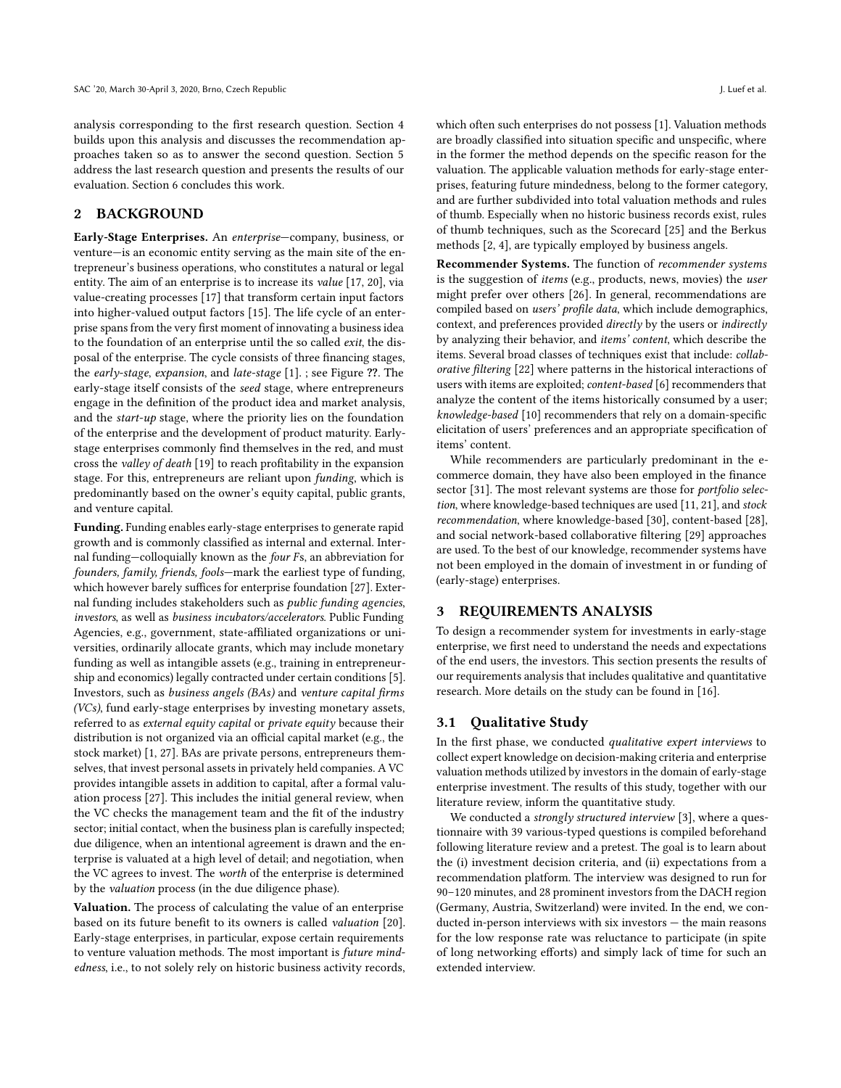analysis corresponding to the first research question. Section [4](#page-3-0) builds upon this analysis and discusses the recommendation approaches taken so as to answer the second question. Section [5](#page-5-0) address the last research question and presents the results of our evaluation. Section [6](#page-7-6) concludes this work.

#### <span id="page-1-0"></span>2 BACKGROUND

Early-Stage Enterprises. An enterprise—company, business, or venture—is an economic entity serving as the main site of the entrepreneur's business operations, who constitutes a natural or legal entity. The aim of an enterprise is to increase its value [\[17,](#page-7-7) [20\]](#page-7-8), via value-creating processes [\[17\]](#page-7-7) that transform certain input factors into higher-valued output factors [\[15\]](#page-7-9). The life cycle of an enterprise spans from the very first moment of innovating a business idea to the foundation of an enterprise until the so called exit, the disposal of the enterprise. The cycle consists of three financing stages, the early-stage, expansion, and late-stage [\[1\]](#page-7-10). ; see Figure ??. The early-stage itself consists of the seed stage, where entrepreneurs engage in the definition of the product idea and market analysis, and the start-up stage, where the priority lies on the foundation of the enterprise and the development of product maturity. Earlystage enterprises commonly find themselves in the red, and must cross the valley of death [\[19\]](#page-7-11) to reach profitability in the expansion stage. For this, entrepreneurs are reliant upon funding, which is predominantly based on the owner's equity capital, public grants, and venture capital.

Funding. Funding enables early-stage enterprises to generate rapid growth and is commonly classified as internal and external. Internal funding—colloquially known as the four Fs, an abbreviation for founders, family, friends, fools—mark the earliest type of funding, which however barely suffices for enterprise foundation [\[27\]](#page-7-12). External funding includes stakeholders such as public funding agencies, investors, as well as business incubators/accelerators. Public Funding Agencies, e.g., government, state-affiliated organizations or universities, ordinarily allocate grants, which may include monetary funding as well as intangible assets (e.g., training in entrepreneurship and economics) legally contracted under certain conditions [\[5\]](#page-7-13). Investors, such as business angels (BAs) and venture capital firms (VCs), fund early-stage enterprises by investing monetary assets, referred to as external equity capital or private equity because their distribution is not organized via an official capital market (e.g., the stock market) [\[1,](#page-7-10) [27\]](#page-7-12). BAs are private persons, entrepreneurs themselves, that invest personal assets in privately held companies. A VC provides intangible assets in addition to capital, after a formal valuation process [\[27\]](#page-7-12). This includes the initial general review, when the VC checks the management team and the fit of the industry sector; initial contact, when the business plan is carefully inspected; due diligence, when an intentional agreement is drawn and the enterprise is valuated at a high level of detail; and negotiation, when the VC agrees to invest. The worth of the enterprise is determined by the valuation process (in the due diligence phase).

Valuation. The process of calculating the value of an enterprise based on its future benefit to its owners is called valuation [\[20\]](#page-7-8). Early-stage enterprises, in particular, expose certain requirements to venture valuation methods. The most important is future mindedness, i.e., to not solely rely on historic business activity records, which often such enterprises do not possess [\[1\]](#page-7-10). Valuation methods are broadly classified into situation specific and unspecific, where in the former the method depends on the specific reason for the valuation. The applicable valuation methods for early-stage enterprises, featuring future mindedness, belong to the former category, and are further subdivided into total valuation methods and rules of thumb. Especially when no historic business records exist, rules of thumb techniques, such as the Scorecard [\[25\]](#page-7-14) and the Berkus methods [\[2,](#page-7-15) [4\]](#page-7-16), are typically employed by business angels.

Recommender Systems. The function of recommender systems is the suggestion of items (e.g., products, news, movies) the user might prefer over others [\[26\]](#page-7-17). In general, recommendations are compiled based on users' profile data, which include demographics, context, and preferences provided directly by the users or indirectly by analyzing their behavior, and items' content, which describe the items. Several broad classes of techniques exist that include: collaborative filtering [\[22\]](#page-7-18) where patterns in the historical interactions of users with items are exploited; content-based [\[6\]](#page-7-19) recommenders that analyze the content of the items historically consumed by a user; knowledge-based [\[10\]](#page-7-20) recommenders that rely on a domain-specific elicitation of users' preferences and an appropriate specification of items' content.

While recommenders are particularly predominant in the ecommerce domain, they have also been employed in the finance sector [\[31\]](#page-7-5). The most relevant systems are those for *portfolio selec*tion, where knowledge-based techniques are used [\[11,](#page-7-21) [21\]](#page-7-22), and stock recommendation, where knowledge-based [\[30\]](#page-7-23), content-based [\[28\]](#page-7-24), and social network-based collaborative filtering [\[29\]](#page-7-25) approaches are used. To the best of our knowledge, recommender systems have not been employed in the domain of investment in or funding of (early-stage) enterprises.

# <span id="page-1-1"></span>3 REQUIREMENTS ANALYSIS

To design a recommender system for investments in early-stage enterprise, we first need to understand the needs and expectations of the end users, the investors. This section presents the results of our requirements analysis that includes qualitative and quantitative research. More details on the study can be found in [\[16\]](#page-7-26).

### 3.1 Qualitative Study

In the first phase, we conducted qualitative expert interviews to collect expert knowledge on decision-making criteria and enterprise valuation methods utilized by investors in the domain of early-stage enterprise investment. The results of this study, together with our literature review, inform the quantitative study.

We conducted a strongly structured interview [\[3\]](#page-7-27), where a questionnaire with 39 various-typed questions is compiled beforehand following literature review and a pretest. The goal is to learn about the (i) investment decision criteria, and (ii) expectations from a recommendation platform. The interview was designed to run for 90–120 minutes, and 28 prominent investors from the DACH region (Germany, Austria, Switzerland) were invited. In the end, we conducted in-person interviews with six investors — the main reasons for the low response rate was reluctance to participate (in spite of long networking efforts) and simply lack of time for such an extended interview.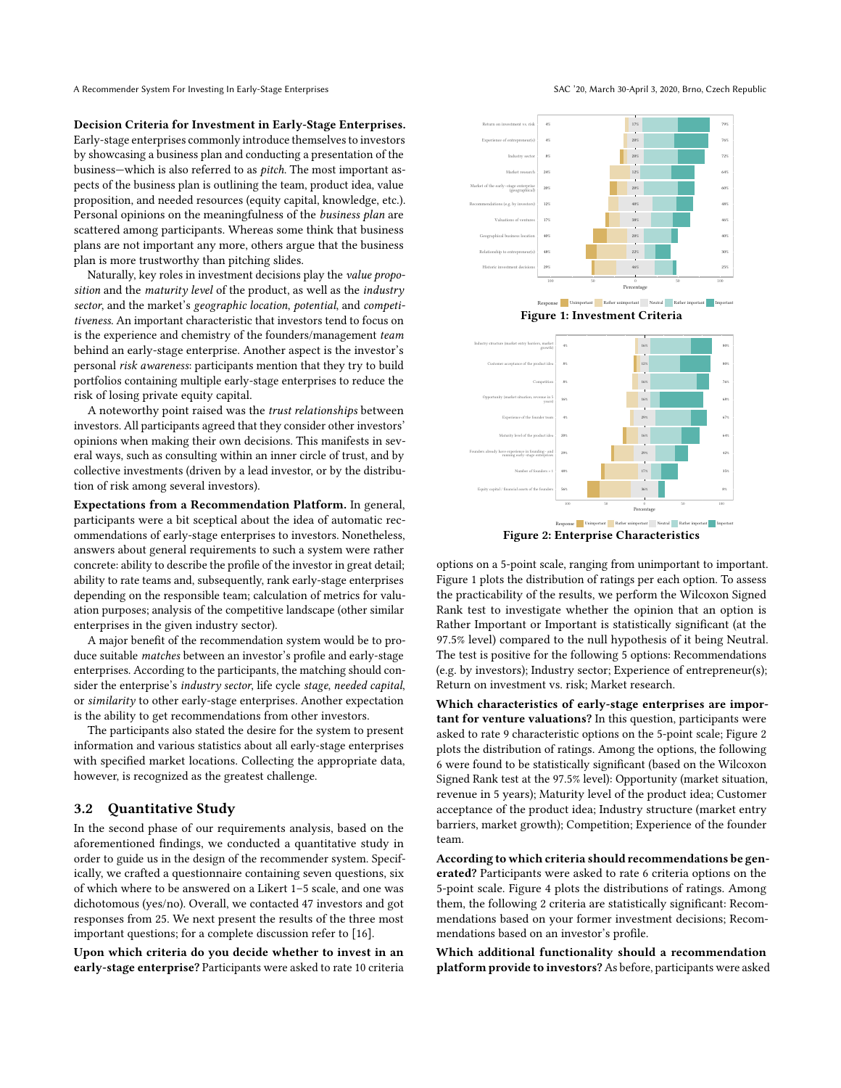A Recommender System For Investing In Early-Stage Enterprises SAC '20, March 30-April 3, 2020, Brno, Czech Republic

Decision Criteria for Investment in Early-Stage Enterprises. Early-stage enterprises commonly introduce themselves to investors by showcasing a business plan and conducting a presentation of the business—which is also referred to as pitch. The most important aspects of the business plan is outlining the team, product idea, value proposition, and needed resources (equity capital, knowledge, etc.). Personal opinions on the meaningfulness of the business plan are scattered among participants. Whereas some think that business plans are not important any more, others argue that the business plan is more trustworthy than pitching slides.

Naturally, key roles in investment decisions play the value proposition and the maturity level of the product, as well as the industry sector, and the market's geographic location, potential, and competitiveness. An important characteristic that investors tend to focus on is the experience and chemistry of the founders/management team behind an early-stage enterprise. Another aspect is the investor's personal risk awareness: participants mention that they try to build portfolios containing multiple early-stage enterprises to reduce the risk of losing private equity capital.

A noteworthy point raised was the trust relationships between investors. All participants agreed that they consider other investors' opinions when making their own decisions. This manifests in several ways, such as consulting within an inner circle of trust, and by collective investments (driven by a lead investor, or by the distribution of risk among several investors).

Expectations from a Recommendation Platform. In general, participants were a bit sceptical about the idea of automatic recommendations of early-stage enterprises to investors. Nonetheless, answers about general requirements to such a system were rather concrete: ability to describe the profile of the investor in great detail; ability to rate teams and, subsequently, rank early-stage enterprises depending on the responsible team; calculation of metrics for valuation purposes; analysis of the competitive landscape (other similar enterprises in the given industry sector).

A major benefit of the recommendation system would be to produce suitable matches between an investor's profile and early-stage enterprises. According to the participants, the matching should consider the enterprise's industry sector, life cycle stage, needed capital, or similarity to other early-stage enterprises. Another expectation is the ability to get recommendations from other investors.

The participants also stated the desire for the system to present information and various statistics about all early-stage enterprises with specified market locations. Collecting the appropriate data, however, is recognized as the greatest challenge.

#### 3.2 Quantitative Study

In the second phase of our requirements analysis, based on the aforementioned findings, we conducted a quantitative study in order to guide us in the design of the recommender system. Specifically, we crafted a questionnaire containing seven questions, six of which where to be answered on a Likert 1–5 scale, and one was dichotomous (yes/no). Overall, we contacted 47 investors and got responses from 25. We next present the results of the three most important questions; for a complete discussion refer to [\[16\]](#page-7-26).

Upon which criteria do you decide whether to invest in an early-stage enterprise? Participants were asked to rate 10 criteria

<span id="page-2-0"></span>

<span id="page-2-1"></span>Figure 2: Enterprise Characteristics

options on a 5-point scale, ranging from unimportant to important. Figure [1](#page-2-0) plots the distribution of ratings per each option. To assess the practicability of the results, we perform the Wilcoxon Signed Rank test to investigate whether the opinion that an option is Rather Important or Important is statistically significant (at the 97.5% level) compared to the null hypothesis of it being Neutral. The test is positive for the following 5 options: Recommendations (e.g. by investors); Industry sector; Experience of entrepreneur(s); Return on investment vs. risk; Market research.

Which characteristics of early-stage enterprises are important for venture valuations? In this question, participants were asked to rate 9 characteristic options on the 5-point scale; Figure [2](#page-2-1) plots the distribution of ratings. Among the options, the following 6 were found to be statistically significant (based on the Wilcoxon Signed Rank test at the 97.5% level): Opportunity (market situation, revenue in 5 years); Maturity level of the product idea; Customer acceptance of the product idea; Industry structure (market entry barriers, market growth); Competition; Experience of the founder team.

According to which criteria should recommendations be generated? Participants were asked to rate 6 criteria options on the 5-point scale. Figure [4](#page-3-1) plots the distributions of ratings. Among them, the following 2 criteria are statistically significant: Recommendations based on your former investment decisions; Recommendations based on an investor's profile.

Which additional functionality should a recommendation platform provide to investors? As before, participants were asked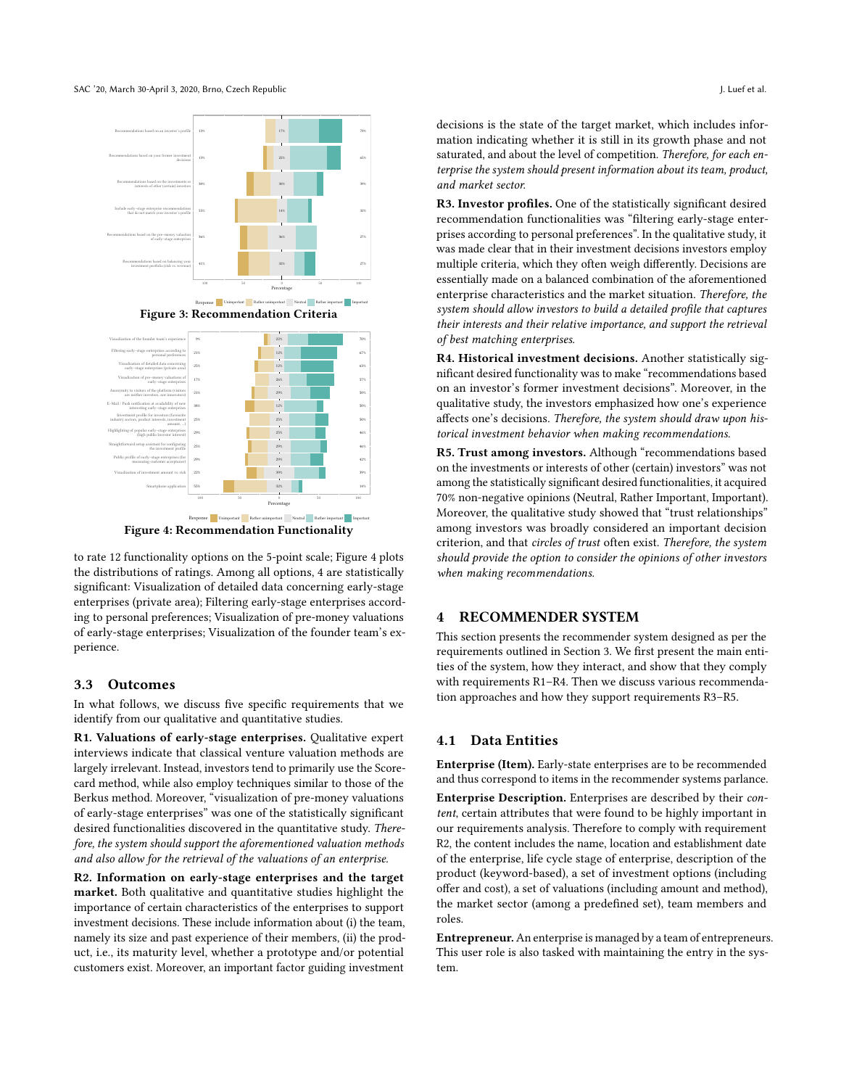

<span id="page-3-1"></span>Figure 4: Recommendation Functionality

to rate 12 functionality options on the 5-point scale; Figure [4](#page-3-1) plots the distributions of ratings. Among all options, 4 are statistically significant: Visualization of detailed data concerning early-stage enterprises (private area); Filtering early-stage enterprises according to personal preferences; Visualization of pre-money valuations of early-stage enterprises; Visualization of the founder team's experience.

#### 3.3 Outcomes

In what follows, we discuss five specific requirements that we identify from our qualitative and quantitative studies.

R1. Valuations of early-stage enterprises. Qualitative expert interviews indicate that classical venture valuation methods are largely irrelevant. Instead, investors tend to primarily use the Scorecard method, while also employ techniques similar to those of the Berkus method. Moreover, "visualization of pre-money valuations of early-stage enterprises" was one of the statistically significant desired functionalities discovered in the quantitative study. Therefore, the system should support the aforementioned valuation methods and also allow for the retrieval of the valuations of an enterprise.

R2. Information on early-stage enterprises and the target market. Both qualitative and quantitative studies highlight the importance of certain characteristics of the enterprises to support investment decisions. These include information about (i) the team, namely its size and past experience of their members, (ii) the product, i.e., its maturity level, whether a prototype and/or potential customers exist. Moreover, an important factor guiding investment

decisions is the state of the target market, which includes information indicating whether it is still in its growth phase and not saturated, and about the level of competition. Therefore, for each enterprise the system should present information about its team, product, and market sector.

R3. Investor profiles. One of the statistically significant desired recommendation functionalities was "filtering early-stage enterprises according to personal preferences". In the qualitative study, it was made clear that in their investment decisions investors employ multiple criteria, which they often weigh differently. Decisions are essentially made on a balanced combination of the aforementioned enterprise characteristics and the market situation. Therefore, the system should allow investors to build a detailed profile that captures their interests and their relative importance, and support the retrieval of best matching enterprises.

R4. Historical investment decisions. Another statistically significant desired functionality was to make "recommendations based on an investor's former investment decisions". Moreover, in the qualitative study, the investors emphasized how one's experience affects one's decisions. Therefore, the system should draw upon historical investment behavior when making recommendations.

R5. Trust among investors. Although "recommendations based on the investments or interests of other (certain) investors" was not among the statistically significant desired functionalities, it acquired 70% non-negative opinions (Neutral, Rather Important, Important). Moreover, the qualitative study showed that "trust relationships" among investors was broadly considered an important decision criterion, and that circles of trust often exist. Therefore, the system should provide the option to consider the opinions of other investors when making recommendations.

#### <span id="page-3-0"></span>4 RECOMMENDER SYSTEM

This section presents the recommender system designed as per the requirements outlined in Section [3.](#page-1-1) We first present the main entities of the system, how they interact, and show that they comply with requirements R1–R4. Then we discuss various recommendation approaches and how they support requirements R3–R5.

# 4.1 Data Entities

Enterprise (Item). Early-state enterprises are to be recommended and thus correspond to items in the recommender systems parlance.

Enterprise Description. Enterprises are described by their content, certain attributes that were found to be highly important in our requirements analysis. Therefore to comply with requirement R2, the content includes the name, location and establishment date of the enterprise, life cycle stage of enterprise, description of the product (keyword-based), a set of investment options (including offer and cost), a set of valuations (including amount and method), the market sector (among a predefined set), team members and roles.

Entrepreneur. An enterprise is managed by a team of entrepreneurs. This user role is also tasked with maintaining the entry in the system.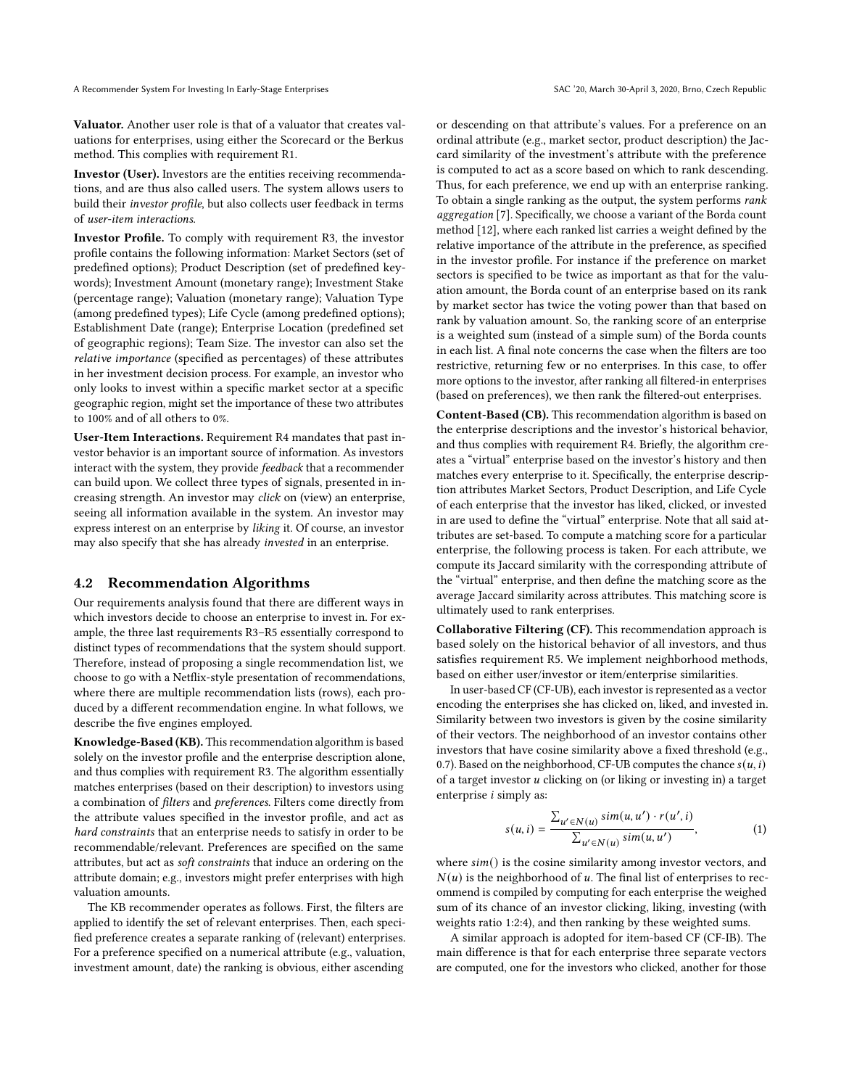Valuator. Another user role is that of a valuator that creates valuations for enterprises, using either the Scorecard or the Berkus method. This complies with requirement R1.

Investor (User). Investors are the entities receiving recommendations, and are thus also called users. The system allows users to build their investor profile, but also collects user feedback in terms of user-item interactions.

Investor Profile. To comply with requirement R3, the investor profile contains the following information: Market Sectors (set of predefined options); Product Description (set of predefined keywords); Investment Amount (monetary range); Investment Stake (percentage range); Valuation (monetary range); Valuation Type (among predefined types); Life Cycle (among predefined options); Establishment Date (range); Enterprise Location (predefined set of geographic regions); Team Size. The investor can also set the relative importance (specified as percentages) of these attributes in her investment decision process. For example, an investor who only looks to invest within a specific market sector at a specific geographic region, might set the importance of these two attributes to 100% and of all others to 0%.

User-Item Interactions. Requirement R4 mandates that past investor behavior is an important source of information. As investors interact with the system, they provide feedback that a recommender can build upon. We collect three types of signals, presented in increasing strength. An investor may click on (view) an enterprise, seeing all information available in the system. An investor may express interest on an enterprise by liking it. Of course, an investor may also specify that she has already invested in an enterprise.

#### 4.2 Recommendation Algorithms

Our requirements analysis found that there are different ways in which investors decide to choose an enterprise to invest in. For example, the three last requirements R3–R5 essentially correspond to distinct types of recommendations that the system should support. Therefore, instead of proposing a single recommendation list, we choose to go with a Netflix-style presentation of recommendations, where there are multiple recommendation lists (rows), each produced by a different recommendation engine. In what follows, we describe the five engines employed.

Knowledge-Based (KB). This recommendation algorithm is based solely on the investor profile and the enterprise description alone, and thus complies with requirement R3. The algorithm essentially matches enterprises (based on their description) to investors using a combination of filters and preferences. Filters come directly from the attribute values specified in the investor profile, and act as hard constraints that an enterprise needs to satisfy in order to be recommendable/relevant. Preferences are specified on the same attributes, but act as soft constraints that induce an ordering on the attribute domain; e.g., investors might prefer enterprises with high valuation amounts.

The KB recommender operates as follows. First, the filters are applied to identify the set of relevant enterprises. Then, each specified preference creates a separate ranking of (relevant) enterprises. For a preference specified on a numerical attribute (e.g., valuation, investment amount, date) the ranking is obvious, either ascending

or descending on that attribute's values. For a preference on an ordinal attribute (e.g., market sector, product description) the Jaccard similarity of the investment's attribute with the preference is computed to act as a score based on which to rank descending. Thus, for each preference, we end up with an enterprise ranking. To obtain a single ranking as the output, the system performs rank aggregation [\[7\]](#page-7-28). Specifically, we choose a variant of the Borda count method [\[12\]](#page-7-29), where each ranked list carries a weight defined by the relative importance of the attribute in the preference, as specified in the investor profile. For instance if the preference on market sectors is specified to be twice as important as that for the valuation amount, the Borda count of an enterprise based on its rank by market sector has twice the voting power than that based on rank by valuation amount. So, the ranking score of an enterprise is a weighted sum (instead of a simple sum) of the Borda counts in each list. A final note concerns the case when the filters are too restrictive, returning few or no enterprises. In this case, to offer more options to the investor, after ranking all filtered-in enterprises (based on preferences), we then rank the filtered-out enterprises.

Content-Based (CB). This recommendation algorithm is based on the enterprise descriptions and the investor's historical behavior, and thus complies with requirement R4. Briefly, the algorithm creates a "virtual" enterprise based on the investor's history and then matches every enterprise to it. Specifically, the enterprise description attributes Market Sectors, Product Description, and Life Cycle of each enterprise that the investor has liked, clicked, or invested in are used to define the "virtual" enterprise. Note that all said attributes are set-based. To compute a matching score for a particular enterprise, the following process is taken. For each attribute, we compute its Jaccard similarity with the corresponding attribute of the "virtual" enterprise, and then define the matching score as the average Jaccard similarity across attributes. This matching score is ultimately used to rank enterprises.

Collaborative Filtering (CF). This recommendation approach is based solely on the historical behavior of all investors, and thus satisfies requirement R5. We implement neighborhood methods, based on either user/investor or item/enterprise similarities.

In user-based CF (CF-UB), each investor is represented as a vector encoding the enterprises she has clicked on, liked, and invested in. Similarity between two investors is given by the cosine similarity of their vectors. The neighborhood of an investor contains other investors that have cosine similarity above a fixed threshold (e.g., 0.7). Based on the neighborhood, CF-UB computes the chance  $s(u, i)$ of a target investor  $u$  clicking on (or liking or investing in) a target enterprise  $i$  simply as:

<span id="page-4-0"></span>
$$
s(u, i) = \frac{\sum_{u' \in N(u)} sim(u, u') \cdot r(u', i)}{\sum_{u' \in N(u)} sim(u, u')},
$$
\n(1)

where  $sim()$  is the cosine similarity among investor vectors, and  $N(u)$  is the neighborhood of u. The final list of enterprises to recommend is compiled by computing for each enterprise the weighed sum of its chance of an investor clicking, liking, investing (with weights ratio 1:2:4), and then ranking by these weighted sums.

A similar approach is adopted for item-based CF (CF-IB). The main difference is that for each enterprise three separate vectors are computed, one for the investors who clicked, another for those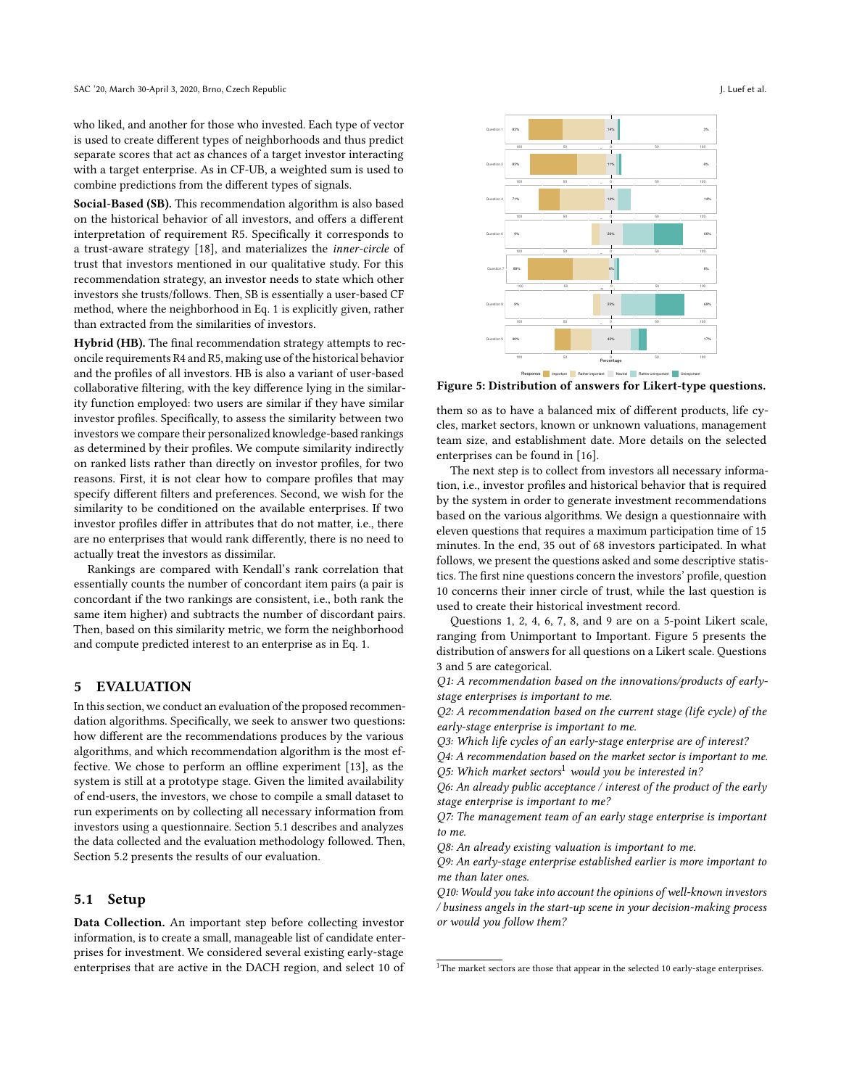who liked, and another for those who invested. Each type of vector is used to create different types of neighborhoods and thus predict separate scores that act as chances of a target investor interacting with a target enterprise. As in CF-UB, a weighted sum is used to combine predictions from the different types of signals.

Social-Based (SB). This recommendation algorithm is also based on the historical behavior of all investors, and offers a different interpretation of requirement R5. Specifically it corresponds to a trust-aware strategy [\[18\]](#page-7-30), and materializes the inner-circle of trust that investors mentioned in our qualitative study. For this recommendation strategy, an investor needs to state which other investors she trusts/follows. Then, SB is essentially a user-based CF method, where the neighborhood in Eq. [1](#page-4-0) is explicitly given, rather than extracted from the similarities of investors.

Hybrid (HB). The final recommendation strategy attempts to reconcile requirements R4 and R5, making use of the historical behavior and the profiles of all investors. HB is also a variant of user-based collaborative filtering, with the key difference lying in the similarity function employed: two users are similar if they have similar investor profiles. Specifically, to assess the similarity between two investors we compare their personalized knowledge-based rankings as determined by their profiles. We compute similarity indirectly on ranked lists rather than directly on investor profiles, for two reasons. First, it is not clear how to compare profiles that may specify different filters and preferences. Second, we wish for the similarity to be conditioned on the available enterprises. If two investor profiles differ in attributes that do not matter, i.e., there are no enterprises that would rank differently, there is no need to actually treat the investors as dissimilar.

Rankings are compared with Kendall's rank correlation that essentially counts the number of concordant item pairs (a pair is concordant if the two rankings are consistent, i.e., both rank the same item higher) and subtracts the number of discordant pairs. Then, based on this similarity metric, we form the neighborhood and compute predicted interest to an enterprise as in Eq. [1.](#page-4-0)

# <span id="page-5-0"></span>5 EVALUATION

In this section, we conduct an evaluation of the proposed recommendation algorithms. Specifically, we seek to answer two questions: how different are the recommendations produces by the various algorithms, and which recommendation algorithm is the most effective. We chose to perform an offline experiment [\[13\]](#page-7-31), as the system is still at a prototype stage. Given the limited availability of end-users, the investors, we chose to compile a small dataset to run experiments on by collecting all necessary information from investors using a questionnaire. Section [5.1](#page-5-1) describes and analyzes the data collected and the evaluation methodology followed. Then, Section [5.2](#page-6-0) presents the results of our evaluation.

#### <span id="page-5-1"></span>5.1 Setup

Data Collection. An important step before collecting investor information, is to create a small, manageable list of candidate enterprises for investment. We considered several existing early-stage enterprises that are active in the DACH region, and select 10 of

<span id="page-5-2"></span>

Response Important Rather important Neutral Rather unimportant Unimportant Figure 5: Distribution of answers for Likert-type questions.

them so as to have a balanced mix of different products, life cycles, market sectors, known or unknown valuations, management team size, and establishment date. More details on the selected enterprises can be found in [\[16\]](#page-7-26).

The next step is to collect from investors all necessary information, i.e., investor profiles and historical behavior that is required by the system in order to generate investment recommendations based on the various algorithms. We design a questionnaire with eleven questions that requires a maximum participation time of 15 minutes. In the end, 35 out of 68 investors participated. In what follows, we present the questions asked and some descriptive statistics. The first nine questions concern the investors' profile, question 10 concerns their inner circle of trust, while the last question is used to create their historical investment record.

Questions 1, 2, 4, 6, 7, 8, and 9 are on a 5-point Likert scale, ranging from Unimportant to Important. Figure [5](#page-5-2) presents the distribution of answers for all questions on a Likert scale. Questions 3 and 5 are categorical.

Q1: A recommendation based on the innovations/products of earlystage enterprises is important to me.

Q2: A recommendation based on the current stage (life cycle) of the early-stage enterprise is important to me.

Q3: Which life cycles of an early-stage enterprise are of interest?

Q4: A recommendation based on the market sector is important to me. Q5: Which market sectors<sup>[1](#page-5-3)</sup> would you be interested in?

Q6: An already public acceptance / interest of the product of the early stage enterprise is important to me?

Q7: The management team of an early stage enterprise is important to me.

Q8: An already existing valuation is important to me.

Q9: An early-stage enterprise established earlier is more important to me than later ones.

Q10: Would you take into account the opinions of well-known investors / business angels in the start-up scene in your decision-making process or would you follow them?

<span id="page-5-3"></span><sup>&</sup>lt;sup>1</sup>The market sectors are those that appear in the selected 10 early-stage enterprises.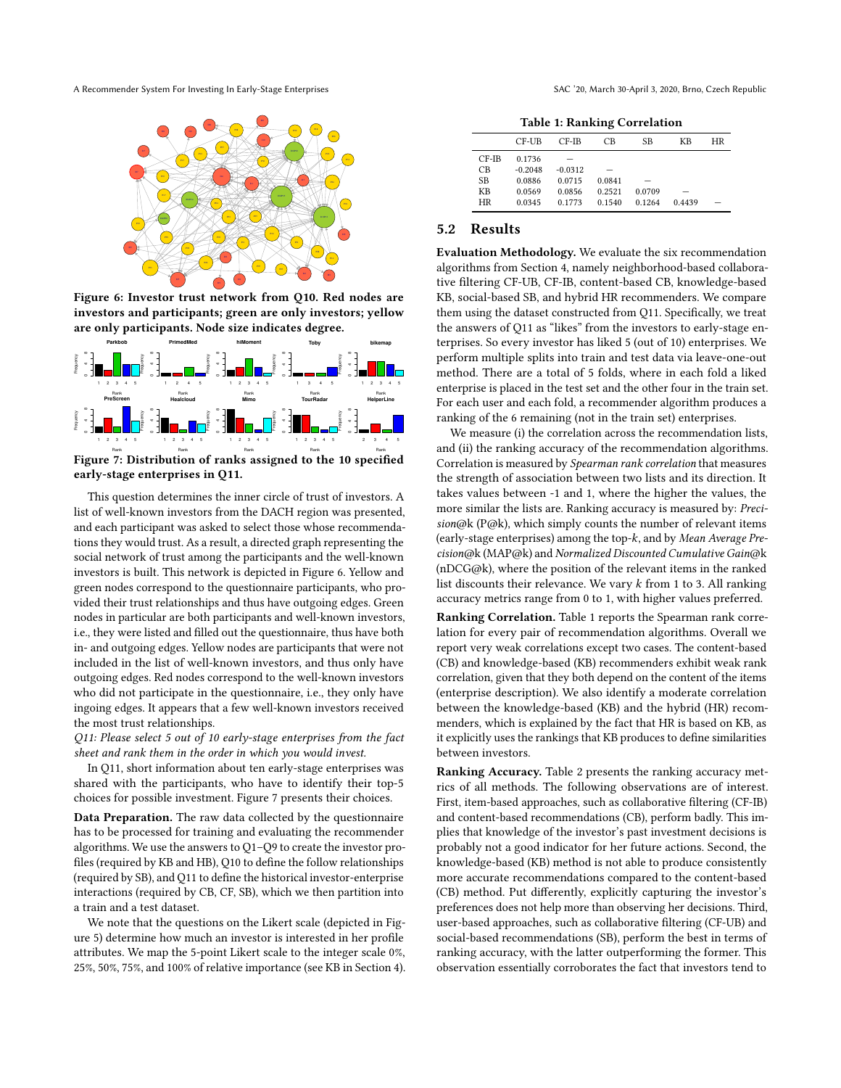<span id="page-6-1"></span>A Recommender System For Investing In Early-Stage Enterprises SAC '20, March 30-April 3, 2020, Brno, Czech Republic



Figure 6: Investor trust network from Q10. Red nodes are investors and participants; green are only investors; yellow are only participants. Node size indicates degree. Rank Rank **hiMoment Toby bikemap PreScreen Toby bikemap PreScreen Toby bikemap PreScreen**  $\mathbf{r}$  $\overline{\phantom{0}}$  $\ddot{\phantom{0}}$ 1

<span id="page-6-2"></span>

Figure 7: Distribution of ranks assigned to the 10 specified **Healcloud Mimo Healcloud Mimo Healcloud Mimo TourRadar** early-stage enterprises in Q11.

and each participant was asked to select those whose This question determines the inner circle of trust of investors. A<br>list of well-known investors from the DACH region was presented,  $\frac{1}{\pi}$  $F$ reguency frequency frequency  $F$  $\epsilon$ ו<br>ו green nodes correspond to the questionnaire participants, who protions they would trust. As a result, a directed graph representing the vided their trust relationships and thus have outgoing edges. Green investors is built. This network is depicted in Figure [6.](#page-6-1) Yellow and investors is built. This network is depicted in Figure 6. Yellow and  $\overline{v}$  $\overline{1}$ n<br>w .<br>.  $\frac{1}{2}$ ة:<br>n t.<br>f  $\frac{1}{2}$  $\frac{1}{4}$ and each participant was asked to select those whose recommenda- $\overline{a}$ This question determines the inner circle of trust of investors. A n<br>0 .<br>تا ว<br>e social network of trust among the participants and the well-known nodes in particular are both participants and well-known investors, i.e., they were listed and filled out the questionnaire, thus have both in- and outgoing edges. Yellow nodes are participants that were not included in the list of well-known investors, and thus only have outgoing edges. Red nodes correspond to the well-known investors who did not participate in the questionnaire, i.e., they only have ingoing edges. It appears that a few well-known investors received the most trust relationships.

Q11: Please select 5 out of 10 early-stage enterprises from the fact sheet and rank them in the order in which you would invest.

In Q11, short information about ten early-stage enterprises was shared with the participants, who have to identify their top-5 choices for possible investment. Figure [7](#page-6-2) presents their choices.

Data Preparation. The raw data collected by the questionnaire has to be processed for training and evaluating the recommender algorithms. We use the answers to Q1–Q9 to create the investor profiles (required by KB and HB), Q10 to define the follow relationships (required by SB), and Q11 to define the historical investor-enterprise interactions (required by CB, CF, SB), which we then partition into a train and a test dataset.

We note that the questions on the Likert scale (depicted in Figure [5\)](#page-5-2) determine how much an investor is interested in her profile attributes. We map the 5-point Likert scale to the integer scale 0%, 25%, 50%, 75%, and 100% of relative importance (see KB in Section [4\)](#page-3-0).

Table 1: Ranking Correlation

<span id="page-6-3"></span>

|           |           |           | . .    |        |        |    |
|-----------|-----------|-----------|--------|--------|--------|----|
|           | CF-UB     | $CF-IB$   | СB     | SВ     | KВ     | HR |
| $CF-IB$   | 0.1736    |           |        |        |        |    |
| CB        | $-0.2048$ | $-0.0312$ |        |        |        |    |
| <b>SB</b> | 0.0886    | 0.0715    | 0.0841 |        |        |    |
| KВ        | 0.0569    | 0.0856    | 0.2521 | 0.0709 |        |    |
| HR        | 0.0345    | 0.1773    | 0.1540 | 0.1264 | 0.4439 |    |
| n         | 1.        |           |        |        |        |    |
|           |           |           |        |        |        |    |

#### <span id="page-6-0"></span>5.2 Results 12345

them using the dataset constructed from Q11. Specifically, we treat **hiMoment hiMoment** the answers of Q11 as "likes" from the investors to early-stage en- $\ddot{\text{}}$ enterprise i terprises. So every investor has liked 5 (out of 10) enterprises. We  $\frac{1}{1}$ ranking of the 6 remaining (not in the train set) enterprises. KB, social-based SB, and hybrid HR recommenders. We compare algorithms from Section [4,](#page-3-0) namely neighborhood-based collaborative filtering CF-UB, CF-IB, content-based CB, knowledge-based  $\overline{c}$ method. There are a total of 5 folds, where in each fold a liked enterprise is placed in the test set and the other four in the train set. terprises. So every investor nas liked 5 (out of 10) enterprises. We<br>perform multiple splits into train and test data via leave-one-out ر.<br>i Evaluation Methodology. We evaluate the six recommendation For each user and each fold, a recommender algorithm produces a

and (ii) the ranking accuracy of the recommendation algorithms. Correlation is measured by Spearman rank correlation that measures  $\ddot{ }$ We measure (i) the correlation across the recommendation lists, the strength of association between two lists and its direction. It takes values between -1 and 1, where the higher the values, the more similar the lists are. Ranking accuracy is measured by: Preci $sion@k$  (P@k), which simply counts the number of relevant items (early-stage enterprises) among the top- $k$ , and by Mean Average Precision@k (MAP@k) and Normalized Discounted Cumulative Gain@k (nDCG@k), where the position of the relevant items in the ranked list discounts their relevance. We vary  $k$  from 1 to 3. All ranking accuracy metrics range from 0 to 1, with higher values preferred.

Ranking Correlation. Table [1](#page-6-3) reports the Spearman rank correlation for every pair of recommendation algorithms. Overall we report very weak correlations except two cases. The content-based (CB) and knowledge-based (KB) recommenders exhibit weak rank correlation, given that they both depend on the content of the items (enterprise description). We also identify a moderate correlation between the knowledge-based (KB) and the hybrid (HR) recommenders, which is explained by the fact that HR is based on KB, as it explicitly uses the rankings that KB produces to define similarities between investors.

Ranking Accuracy. Table [2](#page-7-32) presents the ranking accuracy metrics of all methods. The following observations are of interest. First, item-based approaches, such as collaborative filtering (CF-IB) and content-based recommendations (CB), perform badly. This implies that knowledge of the investor's past investment decisions is probably not a good indicator for her future actions. Second, the knowledge-based (KB) method is not able to produce consistently more accurate recommendations compared to the content-based (CB) method. Put differently, explicitly capturing the investor's preferences does not help more than observing her decisions. Third, user-based approaches, such as collaborative filtering (CF-UB) and social-based recommendations (SB), perform the best in terms of ranking accuracy, with the latter outperforming the former. This observation essentially corroborates the fact that investors tend to